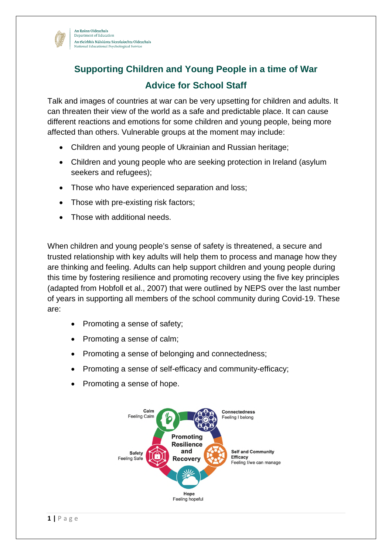

## **Supporting Children and Young People in a time of War Advice for School Staff**

Talk and images of countries at war can be very upsetting for children and adults. It can threaten their view of the world as a safe and predictable place. It can cause different reactions and emotions for some children and young people, being more affected than others. Vulnerable groups at the moment may include:

- Children and young people of Ukrainian and Russian heritage;
- Children and young people who are seeking protection in Ireland (asylum seekers and refugees);
- Those who have experienced separation and loss;
- Those with pre-existing risk factors;
- Those with additional needs.

When children and young people's sense of safety is threatened, a secure and trusted relationship with key adults will help them to process and manage how they are thinking and feeling. Adults can help support children and young people during this time by fostering resilience and promoting recovery using the five key principles (adapted from Hobfoll et al., 2007) that were outlined by NEPS over the last number of years in supporting all members of the school community during Covid-19. These are:

- Promoting a sense of safety;
- Promoting a sense of calm;
- Promoting a sense of belonging and connectedness;
- Promoting a sense of self-efficacy and community-efficacy;
- Promoting a sense of hope.

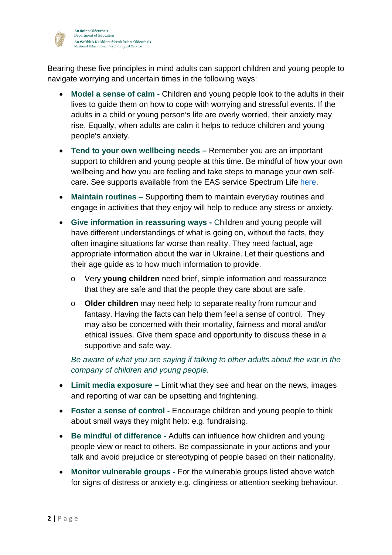

An Roinn Oideachais Department of Educatio An tSeirbhís Náisiúnta Síceolaíochta Oideachais National Educational Psychological Service

Bearing these five principles in mind adults can support children and young people to navigate worrying and uncertain times in the following ways:

- **Model a sense of calm** Children and young people look to the adults in their lives to guide them on how to cope with worrying and stressful events. If the adults in a child or young person's life are overly worried, their anxiety may rise. Equally, when adults are calm it helps to reduce children and young people's anxiety.
- **Tend to your own wellbeing needs** Remember you are an important support to children and young people at this time. Be mindful of how your own wellbeing and how you are feeling and take steps to manage your own selfcare. See supports available from the EAS service Spectrum Life [here.](https://www.gov.ie/en/service/23acf5-employee-assistance-service/)
- **Maintain routines**  Supporting them to maintain everyday routines and engage in activities that they enjoy will help to reduce any stress or anxiety.
- **Give information in reassuring ways** Children and young people will have different understandings of what is going on, without the facts, they often imagine situations far worse than reality. They need factual, age appropriate information about the war in Ukraine. Let their questions and their age guide as to how much information to provide.
	- o Very **young children** need brief, simple information and reassurance that they are safe and that the people they care about are safe.
	- o **Older children** may need help to separate reality from rumour and fantasy. Having the facts can help them feel a sense of control. They may also be concerned with their mortality, fairness and moral and/or ethical issues. Give them space and opportunity to discuss these in a supportive and safe way.

*Be aware of what you are saying if talking to other adults about the war in the company of children and young people.* 

- **Limit media exposure** Limit what they see and hear on the news, images and reporting of war can be upsetting and frightening.
- **Foster a sense of control** Encourage children and young people to think about small ways they might help: e.g. fundraising.
- **Be mindful of difference** Adults can influence how children and young people view or react to others. Be compassionate in your actions and your talk and avoid prejudice or stereotyping of people based on their nationality.
- **Monitor vulnerable groups** For the vulnerable groups listed above watch for signs of distress or anxiety e.g. clinginess or attention seeking behaviour.